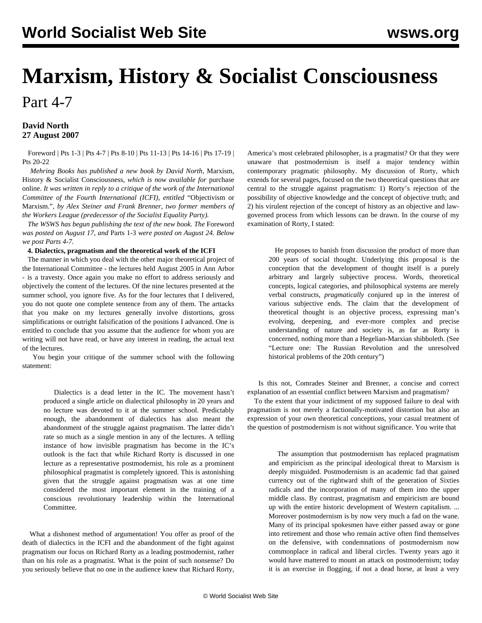# **Marxism, History & Socialist Consciousness**

Part 4-7

## **David North 27 August 2007**

 [Foreword](/en/articles/2007/08/marx-a17.html) | [Pts 1-3](/en/articles/2007/08/marx-a24.html) | [Pts 4-7](/en/articles/2007/08/marx-a27.html) | [Pts 8-10](/en/articles/2007/08/marx-a29.html) | [Pts 11-13](/en/articles/2007/08/marx-a31.html) | [Pts 14-16](/en/articles/2007/09/marx-s05.html) | [Pts 17-19](/en/articles/2007/09/marx-s07.html) | [Pts 20-22](/en/articles/2007/09/marx-s10.html)

 *Mehring Books has published a new book by David North,* Marxism, History & Socialist Consciousness, *which is now available for* [purchase](http://dev.wsws.org/cgi-bin/store/commerce.cgi?product=newrelease) [online.](http://dev.wsws.org/cgi-bin/store/commerce.cgi?product=newrelease) *It was written in reply to a critique of the work of the International Committee of the Fourth International (ICFI), entitled* ["Objectivism or](http://www.permanent-revolution.org/) [Marxism."](http://www.permanent-revolution.org/)*, by Alex Steiner and Frank Brenner, two former members of the Workers League (predecessor of the Socialist Equality Party).*

 *The WSWS has begun publishing the text of the new book. The* [Foreword](/share/page/site/wsws/marx-a17.shtml) *was posted on August 17, and* [Parts 1-3](/share/page/site/wsws/marx-a24.shtml) *were posted on August 24. Below we post Parts 4-7.*

**4. Dialectics, pragmatism and the theoretical work of the ICFI**

 The manner in which you deal with the other major theoretical project of the International Committee - [the lectures held August 2005 in Ann Arbor](/share/sections/category/history/h-ss2005.shtml) - is a travesty. Once again you make no effort to address seriously and objectively the content of the lectures. Of the nine lectures presented at the summer school, you ignore five. As for the four lectures that I delivered, you do not quote one complete sentence from any of them. The arttacks that you make on my lectures generally involve distortions, gross simplifications or outright falsification of the positions I advanced. One is entitled to conclude that you assume that the audience for whom you are writing will not have read, or have any interest in reading, the actual text of the lectures.

 You begin your critique of the summer school with the following statement:

 Dialectics is a dead letter in the IC. The movement hasn't produced a single article on dialectical philosophy in 20 years and no lecture was devoted to it at the summer school. Predictably enough, the abandonment of dialectics has also meant the abandonment of the struggle against pragmatism. The latter didn't rate so much as a single mention in any of the lectures. A telling instance of how invisible pragmatism has become in the IC's outlook is the fact that while Richard Rorty is discussed in one lecture as a representative postmodernist, his role as a prominent philosophical pragmatist is completely ignored. This is astonishing given that the struggle against pragmatism was at one time considered the most important element in the training of a conscious revolutionary leadership within the International Committee.

 What a dishonest method of argumentation! You offer as proof of the death of dialectics in the ICFI and the abandonment of the fight against pragmatism our focus on Richard Rorty as a leading postmodernist, rather than on his role as a pragmatist. What is the point of such nonsense? Do you seriously believe that no one in the audience knew that Richard Rorty,

America's most celebrated philosopher, is a pragmatist? Or that they were unaware that postmodernism is itself a major tendency within contemporary pragmatic philosophy. My discussion of Rorty, which extends for several pages, focused on the two theoretical questions that are central to the struggle against pragmatism: 1) Rorty's rejection of the possibility of objective knowledge and the concept of objective truth; and 2) his virulent rejection of the concept of history as an objective and lawgoverned process from which lessons can be drawn. In the course of my examination of Rorty, I stated:

 He proposes to banish from discussion the product of more than 200 years of social thought. Underlying this proposal is the conception that the development of thought itself is a purely arbitrary and largely subjective process. Words, theoretical concepts, logical categories, and philosophical systems are merely verbal constructs, *pragmatically* conjured up in the interest of various subjective ends. The claim that the development of theoretical thought is an objective process, expressing man's evolving, deepening, and ever-more complex and precise understanding of nature and society is, as far as Rorty is concerned, nothing more than a Hegelian-Marxian shibboleth. (See ["Lecture one: The Russian Revolution and the unresolved](/share/page/2005/aug2005/le1-all.shtml) [historical problems of the 20th century"](/share/page/2005/aug2005/le1-all.shtml))

 Is this not, Comrades Steiner and Brenner, a concise and correct explanation of an essential conflict between Marxism and pragmatism?

 To the extent that your indictment of my supposed failure to deal with pragmatism is not merely a factionally-motivated distortion but also an expression of your own theoretical conceptions, your casual treatment of the question of postmodernism is not without significance. You write that

 The assumption that postmodernism has replaced pragmatism and empiricism as the principal ideological threat to Marxism is deeply misguided. Postmodernism is an academic fad that gained currency out of the rightward shift of the generation of Sixties radicals and the incorporation of many of them into the upper middle class. By contrast, pragmatism and empiricism are bound up with the entire historic development of Western capitalism. ... Moreover postmodernism is by now very much a fad on the wane. Many of its principal spokesmen have either passed away or gone into retirement and those who remain active often find themselves on the defensive, with condemnations of postmodernism now commonplace in radical and liberal circles. Twenty years ago it would have mattered to mount an attack on postmodernism; today it is an exercise in flogging, if not a dead horse, at least a very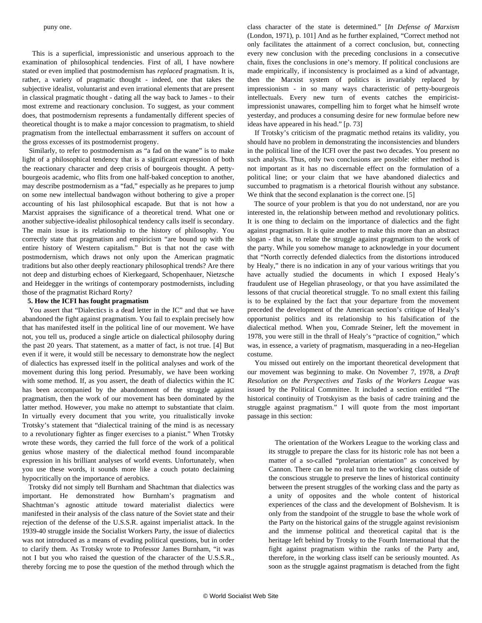This is a superficial, impressionistic and unserious approach to the examination of philosophical tendencies. First of all, I have nowhere stated or even implied that postmodernism has *replaced* pragmatism. It is, rather, a variety of pragmatic thought - indeed, one that takes the subjective idealist, voluntarist and even irrational elements that are present in classical pragmatic thought - dating all the way back to James - to their most extreme and reactionary conclusion. To suggest, as your comment does, that postmodernism represents a fundamentally different species of theoretical thought is to make a major concession to pragmatism, to shield pragmatism from the intellectual embarrassment it suffers on account of the gross excesses of its postmodernist progeny.

 Similarly, to refer to postmodernism as "a fad on the wane" is to make light of a philosophical tendency that is a significant expression of both the reactionary character and deep crisis of bourgeois thought. A pettybourgeois academic, who flits from one half-baked conception to another, may describe postmodernism as a "fad," especially as he prepares to jump on some new intellectual bandwagon without bothering to give a proper accounting of his last philosophical escapade. But that is not how a Marxist appraises the significance of a theoretical trend. What one or another subjective-idealist philosophical tendency calls itself is secondary. The main issue is its relationship to the history of philosophy. You correctly state that pragmatism and empiricism "are bound up with the entire history of Western capitalism." But is that not the case with postmodernism, which draws not only upon the American pragmatic traditions but also other deeply reactionary philosophical trends? Are there not deep and disturbing echoes of Kierkegaard, Schopenhauer, Nietzsche and Heidegger in the writings of contemporary postmodernists, including those of the pragmatist Richard Rorty?

### **5. How the ICFI has fought pragmatism**

 You assert that "Dialectics is a dead letter in the IC" and that we have abandoned the fight against pragmatism. You fail to explain precisely how that has manifested itself in the political line of our movement. We have not, you tell us, produced a single article on dialectical philosophy during the past 20 years. That statement, as a matter of fact, is not true. [\[4\]](#page-3-0) But even if it were, it would still be necessary to demonstrate how the neglect of dialectics has expressed itself in the political analyses and work of the movement during this long period. Presumably, we have been working with some method. If, as you assert, the death of dialectics within the IC has been accompanied by the abandonment of the struggle against pragmatism, then the work of our movement has been dominated by the latter method. However, you make no attempt to substantiate that claim. In virtually every document that you write, you ritualistically invoke Trotsky's statement that "dialectical training of the mind is as necessary to a revolutionary fighter as finger exercises to a pianist." When Trotsky wrote these words, they carried the full force of the work of a political genius whose mastery of the dialectical method found incomparable expression in his brilliant analyses of world events. Unfortunately, when you use these words, it sounds more like a couch potato declaiming hypocritically on the importance of aerobics.

 Trotsky did not simply tell Burnham and Shachtman that dialectics was important. He demonstrated how Burnham's pragmatism and Shachtman's agnostic attitude toward materialist dialectics were manifested in their analysis of the class nature of the Soviet state and their rejection of the defense of the U.S.S.R. against imperialist attack. In the 1939-40 struggle inside the Socialist Workers Party, the issue of dialectics was not introduced as a means of evading political questions, but in order to clarify them. As Trotsky wrote to Professor James Burnham, "it was not I but you who raised the question of the character of the U.S.S.R., thereby forcing me to pose the question of the method through which the class character of the state is determined." [*In Defense of Marxism* (London, 1971), p. 101] And as he further explained, "Correct method not only facilitates the attainment of a correct conclusion, but, connecting every new conclusion with the preceding conclusions in a consecutive chain, fixes the conclusions in one's memory. If political conclusions are made empirically, if inconsistency is proclaimed as a kind of advantage, then the Marxist system of politics is invariably replaced by impressionism - in so many ways characteristic of petty-bourgeois intellectuals. Every new turn of events catches the empiricistimpressionist unawares, compelling him to forget what he himself wrote yesterday, and produces a consuming desire for new formulae before new ideas have appeared in his head." [p. 73]

 If Trotsky's criticism of the pragmatic method retains its validity, you should have no problem in demonstrating the inconsistencies and blunders in the political line of the ICFI over the past two decades. You present no such analysis. Thus, only two conclusions are possible: either method is not important as it has no discernable effect on the formulation of a political line; or your claim that we have abandoned dialectics and succumbed to pragmatism is a rhetorical flourish without any substance. We think that the second explanation is the correct one. [[5](#page-4-0)]

 The source of your problem is that you do not understand, nor are you interested in, the relationship between method and revolutionary politics. It is one thing to declaim on the importance of dialectics and the fight against pragmatism. It is quite another to make this more than an abstract slogan - that is, to relate the struggle against pragmatism to the work of the party. While you somehow manage to acknowledge in your document that "North correctly defended dialectics from the distortions introduced by Healy," there is no indication in any of your various writings that you have actually studied the documents in which I exposed Healy's fraudulent use of Hegelian phraseology, or that you have assimilated the lessons of that crucial theoretical struggle. To no small extent this failing is to be explained by the fact that your departure from the movement preceded the development of the American section's critique of Healy's opportunist politics and its relationship to his falsification of the dialectical method. When you, Comrade Steiner, left the movement in 1978, you were still in the thrall of Healy's "practice of cognition," which was, in essence, a variety of pragmatism, masquerading in a neo-Hegelian costume.

 You missed out entirely on the important theoretical development that our movement was beginning to make. On November 7, 1978, a *Draft Resolution on the Perspectives and Tasks of the Workers League* was issued by the Political Committee. It included a section entitled "The historical continuity of Trotskyism as the basis of cadre training and the struggle against pragmatism." I will quote from the most important passage in this section:

 The orientation of the Workers League to the working class and its struggle to prepare the class for its historic role has not been a matter of a so-called "proletarian orientation" as conceived by Cannon. There can be no real turn to the working class outside of the conscious struggle to preserve the lines of historical continuity between the present struggles of the working class and the party as a unity of opposites and the whole content of historical experiences of the class and the development of Bolshevism. It is only from the standpoint of the struggle to base the whole work of the Party on the historical gains of the struggle against revisionism and the immense political and theoretical capital that is the heritage left behind by Trotsky to the Fourth International that the fight against pragmatism within the ranks of the Party and, therefore, in the working class itself can be seriously mounted. As soon as the struggle against pragmatism is detached from the fight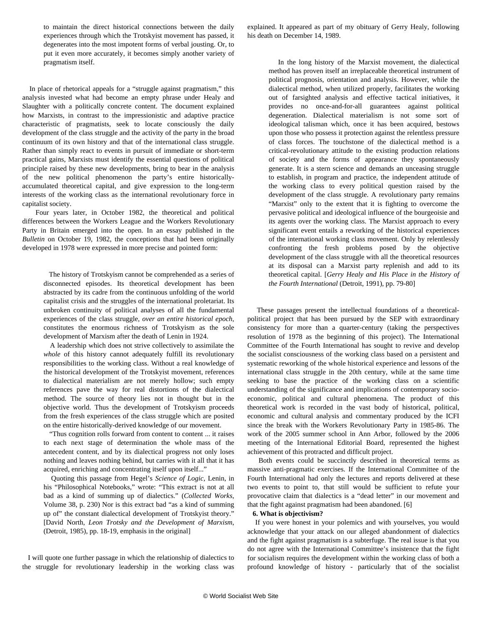to maintain the direct historical connections between the daily experiences through which the Trotskyist movement has passed, it degenerates into the most impotent forms of verbal jousting. Or, to put it even more accurately, it becomes simply another variety of pragmatism itself.

 In place of rhetorical appeals for a "struggle against pragmatism," this analysis invested what had become an empty phrase under Healy and Slaughter with a politically concrete content. The document explained how Marxists, in contrast to the impressionistic and adaptive practice characteristic of pragmatists, seek to locate consciously the daily development of the class struggle and the activity of the party in the broad continuum of its own history and that of the international class struggle. Rather than simply react to events in pursuit of immediate or short-term practical gains, Marxists must identify the essential questions of political principle raised by these new developments, bring to bear in the analysis of the new political phenomenon the party's entire historicallyaccumulated theoretical capital, and give expression to the long-term interests of the working class as the international revolutionary force in capitalist society.

 Four years later, in October 1982, the theoretical and political differences between the Workers League and the Workers Revolutionary Party in Britain emerged into the open. In an essay published in the *Bulletin* on October 19, 1982, the conceptions that had been originally developed in 1978 were expressed in more precise and pointed form:

 The history of Trotskyism cannot be comprehended as a series of disconnected episodes. Its theoretical development has been abstracted by its cadre from the continuous unfolding of the world capitalist crisis and the struggles of the international proletariat. Its unbroken continuity of political analyses of all the fundamental experiences of the class struggle, *over an entire historical epoch*, constitutes the enormous richness of Trotskyism as the sole development of Marxism after the death of Lenin in 1924.

 A leadership which does not strive collectively to assimilate the *whole* of this history cannot adequately fulfill its revolutionary responsibilities to the working class. Without a real knowledge of the historical development of the Trotskyist movement, references to dialectical materialism are not merely hollow; such empty references pave the way for real distortions of the dialectical method. The source of theory lies not in thought but in the objective world. Thus the development of Trotskyism proceeds from the fresh experiences of the class struggle which are posited on the entire historically-derived knowledge of our movement.

 "Thus cognition rolls forward from content to content ... it raises to each next stage of determination the whole mass of the antecedent content, and by its dialectical progress not only loses nothing and leaves nothing behind, but carries with it all that it has acquired, enriching and concentrating itself upon itself..."

 Quoting this passage from Hegel's *Science of Logic*, Lenin, in his "Philosophical Notebooks," wrote: "This extract is not at all bad as a kind of summing up of dialectics." (*Collected Works,* Volume 38, p. 230) Nor is this extract bad "as a kind of summing up of" the constant dialectical development of Trotskyist theory." [David North, *Leon Trotsky and the Development of Marxism*, (Detroit, 1985), pp. 18-19, emphasis in the original]

 I will quote one further passage in which the relationship of dialectics to the struggle for revolutionary leadership in the working class was explained. It appeared as part of my obituary of Gerry Healy, following his death on December 14, 1989.

 In the long history of the Marxist movement, the dialectical method has proven itself an irreplaceable theoretical instrument of political prognosis, orientation and analysis. However, while the dialectical method, when utilized properly, facilitates the working out of farsighted analysis and effective tactical initiatives, it provides no once-and-for-all guarantees against political degeneration. Dialectical materialism is not some sort of ideological talisman which, once it has been acquired, bestows upon those who possess it protection against the relentless pressure of class forces. The touchstone of the dialectical method is a critical-revolutionary attitude to the existing production relations of society and the forms of appearance they spontaneously generate. It is a stern science and demands an unceasing struggle to establish, in program and practice, the independent attitude of the working class to every political question raised by the development of the class struggle. A revolutionary party remains "Marxist" only to the extent that it is fighting to overcome the pervasive political and ideological influence of the bourgeoisie and its agents over the working class. The Marxist approach to every significant event entails a reworking of the historical experiences of the international working class movement. Only by relentlessly confronting the fresh problems posed by the objective development of the class struggle with all the theoretical resources at its disposal can a Marxist party replenish and add to its theoretical capital. [*Gerry Healy and His Place in the History of the Fourth International* (Detroit, 1991), pp. 79-80]

 These passages present the intellectual foundations of a theoreticalpolitical project that has been pursued by the SEP with extraordinary consistency for more than a quarter-century (taking the perspectives resolution of 1978 as the beginning of this project). The International Committee of the Fourth International has sought to revive and develop the socialist consciousness of the working class based on a persistent and systematic reworking of the whole historical experience and lessons of the international class struggle in the 20th century, while at the same time seeking to base the practice of the working class on a scientific understanding of the significance and implications of contemporary socioeconomic, political and cultural phenomena. The product of this theoretical work is recorded in the vast body of historical, political, economic and cultural analysis and commentary produced by the ICFI since the break with the Workers Revolutionary Party in 1985-86. The work of the 2005 summer school in Ann Arbor, followed by the 2006 meeting of the International Editorial Board, represented the highest achievement of this protracted and difficult project.

 Both events could be succinctly described in theoretical terms as massive anti-pragmatic exercises. If the International Committee of the Fourth International had only the lectures and reports delivered at these two events to point to, that still would be sufficient to refute your provocative claim that dialectics is a "dead letter" in our movement and that the fight against pragmatism had been abandoned. [\[6\]](#page-5-0)

#### **6. What is objectivism?**

 If you were honest in your polemics and with yourselves, you would acknowledge that your attack on our alleged abandonment of dialectics and the fight against pragmatism is a subterfuge. The real issue is that you do not agree with the International Committee's insistence that the fight for socialism requires the development within the working class of both a profound knowledge of history - particularly that of the socialist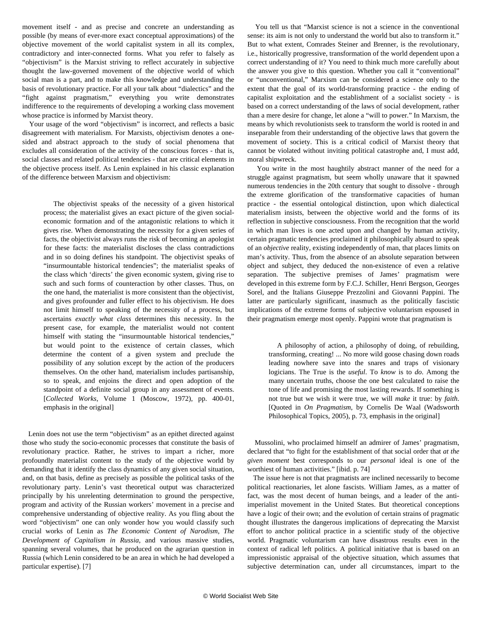<span id="page-3-0"></span>movement itself - and as precise and concrete an understanding as possible (by means of ever-more exact conceptual approximations) of the objective movement of the world capitalist system in all its complex, contradictory and inter-connected forms. What you refer to falsely as "objectivism" is the Marxist striving to reflect accurately in subjective thought the law-governed movement of the objective world of which social man is a part, and to make this knowledge and understanding the basis of revolutionary practice. For all your talk about "dialectics" and the "fight against pragmatism," everything you write demonstrates indifference to the requirements of developing a working class movement whose practice is informed by Marxist theory.

 Your usage of the word "objectivism" is incorrect, and reflects a basic disagreement with materialism. For Marxists, objectivism denotes a onesided and abstract approach to the study of social phenomena that excludes all consideration of the activity of the conscious forces - that is, social classes and related political tendencies - that are critical elements in the objective process itself. As Lenin explained in his classic explanation of the difference between Marxism and objectivism:

 The objectivist speaks of the necessity of a given historical process; the materialist gives an exact picture of the given socialeconomic formation and of the antagonistic relations to which it gives rise. When demonstrating the necessity for a given series of facts, the objectivist always runs the risk of becoming an apologist for these facts: the materialist discloses the class contradictions and in so doing defines his standpoint. The objectivist speaks of "insurmountable historical tendencies"; the materialist speaks of the class which 'directs' the given economic system, giving rise to such and such forms of counteraction by other classes. Thus, on the one hand, the materialist is more consistent than the objectivist, and gives profounder and fuller effect to his objectivism. He does not limit himself to speaking of the necessity of a process, but ascertains *exactly what class* determines this necessity. In the present case, for example, the materialist would not content himself with stating the "insurmountable historical tendencies," but would point to the existence of certain classes, which determine the content of a given system and preclude the possibility of any solution except by the action of the producers themselves. On the other hand, materialism includes partisanship, so to speak, and enjoins the direct and open adoption of the standpoint of a definite social group in any assessment of events. [*Collected Works*, Volume 1 (Moscow, 1972), pp. 400-01, emphasis in the original]

 Lenin does not use the term "objectivism" as an epithet directed against those who study the socio-economic processes that constitute the basis of revolutionary practice. Rather, he strives to impart a richer, more profoundly materialist content to the study of the objective world by demanding that it identify the class dynamics of any given social situation, and, on that basis, define as precisely as possible the political tasks of the revolutionary party. Lenin's vast theoretical output was characterized principally by his unrelenting determination to ground the perspective, program and activity of the Russian workers' movement in a precise and comprehensive understanding of objective reality. As you fling about the word "objectivism" one can only wonder how you would classify such crucial works of Lenin as *The Economic Content of Narodism*, *The Development of Capitalism in Russia*, and various massive studies, spanning several volumes, that he produced on the agrarian question in Russia (which Lenin considered to be an area in which he had developed a particular expertise). [\[7\]](#page-6-0)

 You tell us that "Marxist science is not a science in the conventional sense: its aim is not only to understand the world but also to transform it." But to what extent, Comrades Steiner and Brenner, is the revolutionary, i.e., historically progressive, transformation of the world dependent upon a correct understanding of it? You need to think much more carefully about the answer you give to this question. Whether you call it "conventional" or "unconventional," Marxism can be considered a science only to the extent that the goal of its world-transforming practice - the ending of capitalist exploitation and the establishment of a socialist society - is based on a correct understanding of the laws of social development, rather than a mere desire for change, let alone a "will to power." In Marxism, the means by which revolutionists seek to transform the world is rooted in and inseparable from their understanding of the objective laws that govern the movement of society. This is a critical codicil of Marxist theory that cannot be violated without inviting political catastrophe and, I must add, moral shipwreck.

 You write in the most haughtily abstract manner of the need for a struggle against pragmatism, but seem wholly unaware that it spawned numerous tendencies in the 20th century that sought to dissolve - through the extreme glorification of the transformative capacities of human practice - the essential ontological distinction, upon which dialectical materialism insists, between the objective world and the forms of its reflection in subjective consciousness. From the recognition that the world in which man lives is one acted upon and changed by human activity, certain pragmatic tendencies proclaimed it philosophically absurd to speak of an *objective* reality, existing independently of man, that places limits on man's activity. Thus, from the absence of an absolute separation between object and subject, they deduced the non-existence of even a relative separation. The subjective premises of James' pragmatism were developed in this extreme form by F.C.J. Schiller, Henri Bergson, Georges Sorel, and the Italians Giuseppe Prezzolini and Giovanni Pappini. The latter are particularly significant, inasmuch as the politically fascistic implications of the extreme forms of subjective voluntarism espoused in their pragmatism emerge most openly. Pappini wrote that pragmatism is

 A philosophy of action, a philosophy of doing, of rebuilding, transforming, creating! ... No more wild goose chasing down roads leading nowhere save into the snares and traps of visionary logicians. The True is the *useful*. To *know* is to *do*. Among the many uncertain truths, choose the one best calculated to raise the tone of life and promising the most lasting rewards. If something is not true but we wish it were true, we will *make* it true: by *faith*. [Quoted in *On Pragmatism*, by Cornelis De Waal (Wadsworth Philosophical Topics, 2005), p. 73, emphasis in the original]

 Mussolini, who proclaimed himself an admirer of James' pragmatism, declared that "to fight for the establishment of that social order that *at the given moment* best corresponds to our *personal* ideal is one of the worthiest of human activities." [ibid. p. 74]

 The issue here is not that pragmatists are inclined necessarily to become political reactionaries, let alone fascists. William James, as a matter of fact, was the most decent of human beings, and a leader of the antiimperialist movement in the United States. But theoretical conceptions have a logic of their own; and the evolution of certain strains of pragmatic thought illustrates the dangerous implications of deprecating the Marxist effort to anchor political practice in a scientific study of the objective world. Pragmatic voluntarism can have disastrous results even in the context of radical left politics. A political initiative that is based on an impressionistic appraisal of the objective situation, which assumes that subjective determination can, under all circumstances, impart to the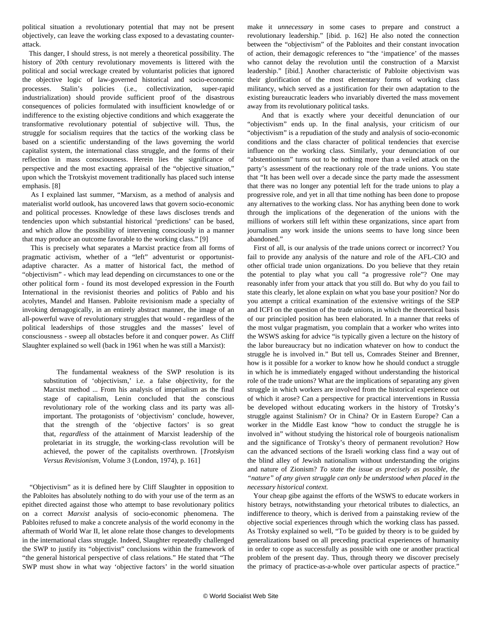<span id="page-4-0"></span>political situation a revolutionary potential that may not be present objectively, can leave the working class exposed to a devastating counterattack.

 This danger, I should stress, is not merely a theoretical possibility. The history of 20th century revolutionary movements is littered with the political and social wreckage created by voluntarist policies that ignored the objective logic of law-governed historical and socio-economic processes. Stalin's policies (i.e., collectivization, super-rapid industrialization) should provide sufficient proof of the disastrous consequences of policies formulated with insufficient knowledge of or indifference to the existing objective conditions and which exaggerate the transformative revolutionary potential of subjective will. Thus, the struggle for socialism requires that the tactics of the working class be based on a scientific understanding of the laws governing the world capitalist system, the international class struggle, and the forms of their reflection in mass consciousness. Herein lies the significance of perspective and the most exacting appraisal of the "objective situation," upon which the Trotskyist movement traditionally has placed such intense emphasis. [\[8\]](#page-7-0)

 As I explained last summer, "Marxism, as a method of analysis and materialist world outlook, has uncovered laws that govern socio-economic and political processes. Knowledge of these laws discloses trends and tendencies upon which substantial historical 'predictions' can be based, and which allow the possibility of intervening consciously in a manner that may produce an outcome favorable to the working class." [\[9\]](#page-8-0)

 This is precisely what separates a Marxist practice from all forms of pragmatic activism, whether of a "left" adventurist or opportunistadaptive character. As a matter of historical fact, the method of "objectivism" - which may lead depending on circumstances to one or the other political form - found its most developed expression in the Fourth International in the revisionist theories and politics of Pablo and his acolytes, Mandel and Hansen. Pabloite revisionism made a specialty of invoking demagogically, in an entirely abstract manner, the image of an all-powerful wave of revolutionary struggles that would - regardless of the political leaderships of those struggles and the masses' level of consciousness - sweep all obstacles before it and conquer power. As Cliff Slaughter explained so well (back in 1961 when he was still a Marxist):

 The fundamental weakness of the SWP resolution is its substitution of 'objectivism,' i.e. a false objectivity, for the Marxist method ... From his analysis of imperialism as the final stage of capitalism, Lenin concluded that the conscious revolutionary role of the working class and its party was allimportant. The protagonists of 'objectivism' conclude, however, that the strength of the 'objective factors' is so great that, *regardless* of the attainment of Marxist leadership of the proletariat in its struggle, the working-class revolution will be achieved, the power of the capitalists overthrown. [*Trotskyism Versus Revisionism,* Volume 3 (London, 1974), p. 161]

 "Objectivism" as it is defined here by Cliff Slaughter in opposition to the Pabloites has absolutely nothing to do with your use of the term as an epithet directed against those who attempt to base revolutionary politics on a correct *Marxist* analysis of socio-economic phenomena. The Pabloites refused to make a concrete analysis of the world economy in the aftermath of World War II, let alone relate those changes to developments in the international class struggle. Indeed, Slaughter repeatedly challenged the SWP to justify its "objectivist" conclusions within the framework of "the general historical perspective of class relations." He stated that "The SWP must show in what way 'objective factors' in the world situation make it *unnecessary* in some cases to prepare and construct a revolutionary leadership." [ibid. p. 162] He also noted the connection between the "objectivism" of the Pabloites and their constant invocation of action, their demagogic references to "the 'impatience' of the masses who cannot delay the revolution until the construction of a Marxist leadership." [ibid.] Another characteristic of Pabloite objectivism was their glorification of the most elementary forms of working class militancy, which served as a justification for their own adaptation to the existing bureaucratic leaders who invariably diverted the mass movement away from its revolutionary political tasks.

 And that is exactly where your deceitful denunciation of our "objectivism" ends up. In the final analysis, your criticism of our "objectivism" is a repudiation of the study and analysis of socio-economic conditions and the class character of political tendencies that exercise influence on the working class. Similarly, your denunciation of our "abstentionism" turns out to be nothing more than a veiled attack on the party's assessment of the reactionary role of the trade unions. You state that "It has been well over a decade since the party made the assessment that there was no longer any potential left for the trade unions to play a progressive role, and yet in all that time nothing has been done to propose any alternatives to the working class. Nor has anything been done to work through the implications of the degeneration of the unions with the millions of workers still left within these organizations, since apart from journalism any work inside the unions seems to have long since been abandoned."

 First of all, is our analysis of the trade unions correct or incorrect? You fail to provide any analysis of the nature and role of the AFL-CIO and other official trade union organizations. Do you believe that they retain the potential to play what you call "a progressive role"? One may reasonably infer from your attack that you still do. But why do you fail to state this clearly, let alone explain on what you base your position? Nor do you attempt a critical examination of the extensive writings of the SEP and ICFI on the question of the trade unions, in which the theoretical basis of our principled position has been elaborated. In a manner that reeks of the most vulgar pragmatism, you complain that a worker who writes into the WSWS asking for advice "is typically given a lecture on the history of the labor bureaucracy but no indication whatever on how to conduct the struggle he is involved in." But tell us, Comrades Steiner and Brenner, how is it possible for a worker to know how he should conduct a struggle in which he is immediately engaged without understanding the historical role of the trade unions? What are the implications of separating any given struggle in which workers are involved from the historical experience out of which it arose? Can a perspective for practical interventions in Russia be developed without educating workers in the history of Trotsky's struggle against Stalinism? Or in China? Or in Eastern Europe? Can a worker in the Middle East know "how to conduct the struggle he is involved in" without studying the historical role of bourgeois nationalism and the significance of Trotsky's theory of permanent revolution? How can the advanced sections of the Israeli working class find a way out of the blind alley of Jewish nationalism without understanding the origins and nature of Zionism? *To state the issue as precisely as possible, the "nature" of any given struggle can only be understood when placed in the necessary historical context.*

 Your cheap gibe against the efforts of the WSWS to educate workers in history betrays, notwithstanding your rhetorical tributes to dialectics, an indifference to theory, which is derived from a painstaking review of the objective social experiences through which the working class has passed. As Trotsky explained so well, "To be guided by theory is to be guided by generalizations based on all preceding practical experiences of humanity in order to cope as successfully as possible with one or another practical problem of the present day. Thus, through theory we discover precisely the primacy of practice-as-a-whole over particular aspects of practice."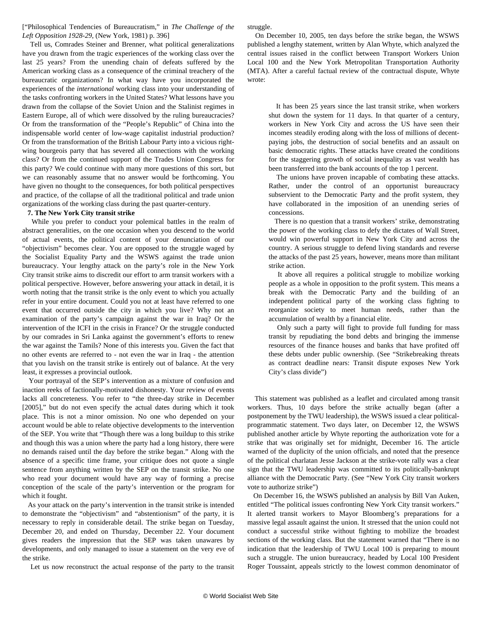<span id="page-5-0"></span>["Philosophical Tendencies of Bureaucratism," in *The Challenge of the Left Opposition 1928-29*, (New York, 1981) p. 396]

 Tell us, Comrades Steiner and Brenner, what political generalizations have you drawn from the tragic experiences of the working class over the last 25 years? From the unending chain of defeats suffered by the American working class as a consequence of the criminal treachery of the bureaucratic organizations? In what way have you incorporated the experiences of the *international* working class into your understanding of the tasks confronting workers in the United States? What lessons have you drawn from the collapse of the Soviet Union and the Stalinist regimes in Eastern Europe, all of which were dissolved by the ruling bureaucracies? Or from the transformation of the "People's Republic" of China into the indispensable world center of low-wage capitalist industrial production? Or from the transformation of the British Labour Party into a vicious rightwing bourgeois party that has severed all connections with the working class? Or from the continued support of the Trades Union Congress for this party? We could continue with many more questions of this sort, but we can reasonably assume that no answer would be forthcoming. You have given no thought to the consequences, for both political perspectives and practice, of the collapse of all the traditional political and trade union organizations of the working class during the past quarter-century.

#### **7. The New York City transit strike**

 While you prefer to conduct your polemical battles in the realm of abstract generalities, on the one occasion when you descend to the world of actual events, the political content of your denunciation of our "objectivism" becomes clear. You are opposed to the struggle waged by the Socialist Equality Party and the WSWS against the trade union bureaucracy. Your lengthy attack on the party's role in the New York City transit strike aims to discredit our effort to arm transit workers with a political perspective. However, before answering your attack in detail, it is worth noting that the transit strike is the only event to which you actually refer in your entire document. Could you not at least have referred to one event that occurred outside the city in which you live? Why not an examination of the party's campaign against the war in Iraq? Or the intervention of the ICFI in the crisis in France? Or the struggle conducted by our comrades in Sri Lanka against the government's efforts to renew the war against the Tamils? None of this interests you. Given the fact that no other events are referred to - not even the war in Iraq - the attention that you lavish on the transit strike is entirely out of balance. At the very least, it expresses a provincial outlook.

 Your portrayal of the SEP's intervention as a mixture of confusion and inaction reeks of factionally-motivated dishonesty. Your review of events lacks all concreteness. You refer to "the three-day strike in December [2005]," but do not even specify the actual dates during which it took place. This is not a minor omission. No one who depended on your account would be able to relate objective developments to the intervention of the SEP. You write that "Though there was a long buildup to this strike and though this was a union where the party had a long history, there were no demands raised until the day before the strike began." Along with the absence of a specific time frame, your critique does not quote a single sentence from anything written by the SEP on the transit strike. No one who read your document would have any way of forming a precise conception of the scale of the party's intervention or the program for which it fought.

 As your attack on the party's intervention in the transit strike is intended to demonstrate the "objectivism" and "abstentionism" of the party, it is necessary to reply in considerable detail. The strike began on Tuesday, December 20, and ended on Thursday, December 22. Your document gives readers the impression that the SEP was taken unawares by developments, and only managed to issue a statement on the very eve of the strike.

Let us now reconstruct the actual response of the party to the transit

struggle.

 On December 10, 2005, ten days before the strike began, the WSWS published a lengthy statement, written by Alan Whyte, which analyzed the central issues raised in the conflict between Transport Workers Union Local 100 and the New York Metropolitan Transportation Authority (MTA). After a careful factual review of the contractual dispute, Whyte wrote:

 It has been 25 years since the last transit strike, when workers shut down the system for 11 days. In that quarter of a century, workers in New York City and across the US have seen their incomes steadily eroding along with the loss of millions of decentpaying jobs, the destruction of social benefits and an assault on basic democratic rights. These attacks have created the conditions for the staggering growth of social inequality as vast wealth has been transferred into the bank accounts of the top 1 percent.

 The unions have proven incapable of combating these attacks. Rather, under the control of an opportunist bureaucracy subservient to the Democratic Party and the profit system, they have collaborated in the imposition of an unending series of concessions.

 There is no question that a transit workers' strike, demonstrating the power of the working class to defy the dictates of Wall Street, would win powerful support in New York City and across the country. A serious struggle to defend living standards and reverse the attacks of the past 25 years, however, means more than militant strike action.

 It above all requires a political struggle to mobilize working people as a whole in opposition to the profit system. This means a break with the Democratic Party and the building of an independent political party of the working class fighting to reorganize society to meet human needs, rather than the accumulation of wealth by a financial elite.

 Only such a party will fight to provide full funding for mass transit by repudiating the bond debts and bringing the immense resources of the finance houses and banks that have profited off these debts under public ownership. (See ["Strikebreaking threats](/share/page/2005/dec2005/twu-d10.shtml) [as contract deadline nears: Transit dispute exposes New York](/share/page/2005/dec2005/twu-d10.shtml) [City's class divide"\)](/share/page/2005/dec2005/twu-d10.shtml)

 This statement was published as a leaflet and circulated among transit workers. Thus, 10 days before the strike actually began (after a postponement by the TWU leadership), the WSWS issued a clear politicalprogrammatic statement. Two days later, on December 12, the WSWS published another article by Whyte reporting the authorization vote for a strike that was originally set for midnight, December 16. The article warned of the duplicity of the union officials, and noted that the presence of the political charlatan Jesse Jackson at the strike-vote rally was a clear sign that the TWU leadership was committed to its politically-bankrupt alliance with the Democratic Party. (See ["New York City transit workers](/share/page/2005/dec2005/twu-d12.shtml) [vote to authorize strike"](/share/page/2005/dec2005/twu-d12.shtml))

 On December 16, the WSWS published an analysis by Bill Van Auken, entitled ["The political issues confronting New York City transit workers."](/share/page/2005/dec2005/tran-d16.shtml) It alerted transit workers to Mayor Bloomberg's preparations for a massive legal assault against the union. It stressed that the union could not conduct a successful strike without fighting to mobilize the broadest sections of the working class. But the statement warned that "There is no indication that the leadership of TWU Local 100 is preparing to mount such a struggle. The union bureaucracy, headed by Local 100 President Roger Toussaint, appeals strictly to the lowest common denominator of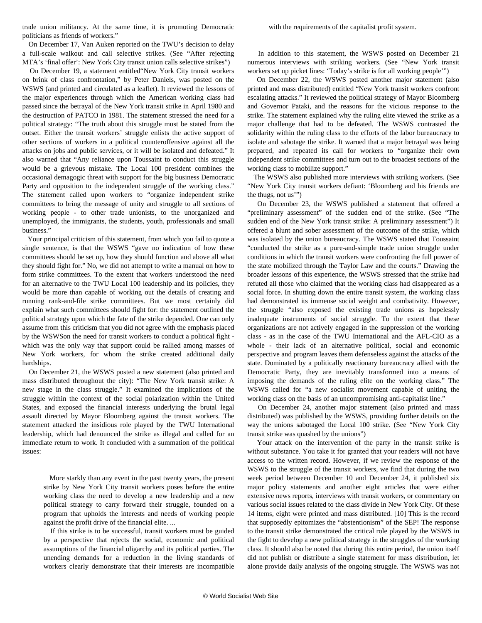<span id="page-6-0"></span>trade union militancy. At the same time, it is promoting Democratic politicians as friends of workers."

 On December 17, Van Auken reported on the TWU's decision to delay a full-scale walkout and call selective strikes. (See ["After rejecting](/share/page/2005/dec2005/twu-d17.shtml) [MTA's 'final offer': New York City transit union calls selective strikes"](/share/page/2005/dec2005/twu-d17.shtml))

 On December 19, a statement entitle[d"New York City transit workers](/share/page/2005/dec2005/tran-d19.shtml) [on brink of class confrontation,"](/share/page/2005/dec2005/tran-d19.shtml) by Peter Daniels, was posted on the WSWS (and printed and circulated as a leaflet). It reviewed the lessons of the major experiences through which the American working class had passed since the betrayal of the New York transit strike in April 1980 and the destruction of PATCO in 1981. The statement stressed the need for a political strategy: "The truth about this struggle must be stated from the outset. Either the transit workers' struggle enlists the active support of other sections of workers in a political counteroffensive against all the attacks on jobs and public services, or it will be isolated and defeated." It also warned that "Any reliance upon Toussaint to conduct this struggle would be a grievous mistake. The Local 100 president combines the occasional demagogic threat with support for the big business Democratic Party and opposition to the independent struggle of the working class." The statement called upon workers to "organize independent strike committees to bring the message of unity and struggle to all sections of working people - to other trade unionists, to the unorganized and unemployed, the immigrants, the students, youth, professionals and small business."

 Your principal criticism of this statement, from which you fail to quote a single sentence, is that the WSWS "gave no indication of how these committees should be set up, how they should function and above all what they should fight for." No, we did not attempt to write a manual on how to form strike committees. To the extent that workers understood the need for an alternative to the TWU Local 100 leadership and its policies, they would be more than capable of working out the details of creating and running rank-and-file strike committees. But we most certainly did explain what such committees should fight for: the statement outlined the political strategy upon which the fate of the strike depended. One can only assume from this criticism that you did not agree with the emphasis placed by the WSWSon the need for transit workers to conduct a political fight which was the only way that support could be rallied among masses of New York workers, for whom the strike created additional daily hardships.

 On December 21, the WSWS posted a new statement (also printed and mass distributed throughout the city): ["The New York transit strike: A](/share/page/2005/dec2005/tran-d21.shtml) [new stage in the class struggle."](/share/page/2005/dec2005/tran-d21.shtml) It examined the implications of the struggle within the context of the social polarization within the United States, and exposed the financial interests underlying the brutal legal assault directed by Mayor Bloomberg against the transit workers. The statement attacked the insidious role played by the TWU International leadership, which had denounced the strike as illegal and called for an immediate return to work. It concluded with a summation of the political issues:

 More starkly than any event in the past twenty years, the present strike by New York City transit workers poses before the entire working class the need to develop a new leadership and a new political strategy to carry forward their struggle, founded on a program that upholds the interests and needs of working people against the profit drive of the financial elite. ...

 If this strike is to be successful, transit workers must be guided by a perspective that rejects the social, economic and political assumptions of the financial oligarchy and its political parties. The unending demands for a reduction in the living standards of workers clearly demonstrate that their interests are incompatible with the requirements of the capitalist profit system.

 In addition to this statement, the WSWS posted on December 21 numerous interviews with striking workers. (See ["New York transit](/share/page/2005/dec2005/nyct-d21.shtml) [workers set up picket lines: 'Today's strike is for all working people'"\)](/share/page/2005/dec2005/nyct-d21.shtml)

 On December 22, the WSWS posted another major statement (also printed and mass distributed) entitled ["New York transit workers confront](/share/page/2005/dec2005/newy-d22.shtml) [escalating attacks."](/share/page/2005/dec2005/newy-d22.shtml) It reviewed the political strategy of Mayor Bloomberg and Governor Pataki, and the reasons for the vicious response to the strike. The statement explained why the ruling elite viewed the strike as a major challenge that had to be defeated. The WSWS contrasted the solidarity within the ruling class to the efforts of the labor bureaucracy to isolate and sabotage the strike. It warned that a major betrayal was being prepared, and repeated its call for workers to "organize their own independent strike committees and turn out to the broadest sections of the working class to mobilize support."

 The WSWS also published more interviews with striking workers. (See ["New York City transit workers defiant: 'Bloomberg and his friends are](/share/page/2005/dec2005/news-d22.shtml) [the thugs, not us'"](/share/page/2005/dec2005/news-d22.shtml))

 On December 23, the WSWS published a statement that offered a "preliminary assessment" of the sudden end of the strike. (See ["The](/share/page/2005/dec2005/trwu-d23.shtml) [sudden end of the New York transit strike: A preliminary assessment"](/share/page/2005/dec2005/trwu-d23.shtml)) It offered a blunt and sober assessment of the outcome of the strike, which was isolated by the union bureaucracy. The WSWS stated that Toussaint "conducted the strike as a pure-and-simple trade union struggle under conditions in which the transit workers were confronting the full power of the state mobilized through the Taylor Law and the courts." Drawing the broader lessons of this experience, the WSWS stressed that the strike had refuted all those who claimed that the working class had disappeared as a social force. In shutting down the entire transit system, the working class had demonstrated its immense social weight and combativity. However, the struggle "also exposed the existing trade unions as hopelessly inadequate instruments of social struggle. To the extent that these organizations are not actively engaged in the suppression of the working class - as in the case of the TWU International and the AFL-CIO as a whole - their lack of an alternative political, social and economic perspective and program leaves them defenseless against the attacks of the state. Dominated by a politically reactionary bureaucracy allied with the Democratic Party, they are inevitably transformed into a means of imposing the demands of the ruling elite on the working class." The WSWS called for "a new socialist movement capable of uniting the working class on the basis of an uncompromising anti-capitalist line."

 On December 24, another major statement (also printed and mass distributed) was published by the WSWS, providing further details on the way the unions sabotaged the Local 100 strike. (See ["New York City](/share/page/2005/dec2005/strik-d24.shtml) [transit strike was quashed by the unions"\)](/share/page/2005/dec2005/strik-d24.shtml)

 Your attack on the intervention of the party in the transit strike is without substance. You take it for granted that your readers will not have access to the written record. However, if we review the response of the WSWS to the struggle of the transit workers, we find that during the two week period between December 10 and December 24, it published six major policy statements and another eight articles that were either extensive news reports, interviews with transit workers, or commentary on various social issues related to the class divide in New York City. Of these 14 items, eight were printed and mass distributed. [10] This is the record that supposedly epitomizes the "abstentionism" of the SEP! The response to the transit strike demonstrated the critical role played by the WSWS in the fight to develop a new political strategy in the struggles of the working class. It should also be noted that during this entire period, the union itself did not publish or distribute a single statement for mass distribution, let alone provide daily analysis of the ongoing struggle. The WSWS was not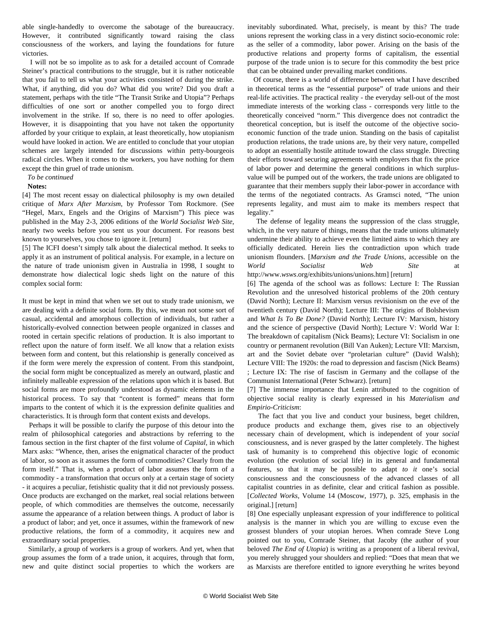<span id="page-7-0"></span>able single-handedly to overcome the sabotage of the bureaucracy. However, it contributed significantly toward raising the class consciousness of the workers, and laying the foundations for future victories.

 I will not be so impolite as to ask for a detailed account of Comrade Steiner's practical contributions to the struggle, but it is rather noticeable that you fail to tell us what your activities consisted of during the strike. What, if anything, did you do? What did you write? Did you draft a statement, perhaps with the title "The Transit Strike and Utopia"? Perhaps difficulties of one sort or another compelled you to forgo direct involvement in the strike. If so, there is no need to offer apologies. However, it is disappointing that you have not taken the opportunity afforded by your critique to explain, at least theoretically, how utopianism would have looked in action. We are entitled to conclude that your utopian schemes are largely intended for discussions within petty-bourgeois radical circles. When it comes to the workers, you have nothing for them except the thin gruel of trade unionism.

*To be continued*

#### **Notes:**

[4] The most recent essay on dialectical philosophy is my own detailed critique of *Marx After Marxism*, by Professor Tom Rockmore. (See ["Hegel, Marx, Engels and the Origins of Marxism"](/share/page/2006/may2006/rock-m02.shtml)) This piece was published in the May 2-3, 2006 editions of the *World Socialist Web Site*, nearly two weeks before you sent us your document. For reasons best known to yourselves, you chose to ignore it. [return]

[5] The ICFI doesn't simply talk about the dialectical method. It seeks to apply it as an instrument of political analysis. For example, in a lecture on the nature of trade unionism given in Australia in 1998, I sought to demonstrate how dialectical logic sheds light on the nature of this complex social form:

It must be kept in mind that when we set out to study trade unionism, we are dealing with a definite social form. By this, we mean not some sort of casual, accidental and amorphous collection of individuals, but rather a historically-evolved connection between people organized in classes and rooted in certain specific relations of production. It is also important to reflect upon the nature of form itself. We all know that a relation exists between form and content, but this relationship is generally conceived as if the form were merely the expression of content. From this standpoint, the social form might be conceptualized as merely an outward, plastic and infinitely malleable expression of the relations upon which it is based. But social forms are more profoundly understood as dynamic elements in the historical process. To say that "content is formed" means that form imparts to the content of which it is the expression definite qualities and characteristics. It is through form that content exists and develops.

 Perhaps it will be possible to clarify the purpose of this detour into the realm of philosophical categories and abstractions by referring to the famous section in the first chapter of the first volume of *Capital*, in which Marx asks: "Whence, then, arises the enigmatical character of the product of labor, so soon as it assumes the form of commodities? Clearly from the form itself." That is, when a product of labor assumes the form of a commodity - a transformation that occurs only at a certain stage of society - it acquires a peculiar, fetishistic quality that it did not previously possess. Once products are exchanged on the market, real social relations between people, of which commodities are themselves the outcome, necessarily assume the appearance of a relation between things. A product of labor is a product of labor; and yet, once it assumes, within the framework of new productive relations, the form of a commodity, it acquires new and extraordinary social properties.

 Similarly, a group of workers is a group of workers. And yet, when that group assumes the form of a trade union, it acquires, through that form, new and quite distinct social properties to which the workers are inevitably subordinated. What, precisely, is meant by this? The trade unions represent the working class in a very distinct socio-economic role: as the seller of a commodity, labor power. Arising on the basis of the productive relations and property forms of capitalism, the essential purpose of the trade union is to secure for this commodity the best price that can be obtained under prevailing market conditions.

 Of course, there is a world of difference between what I have described in theoretical terms as the "essential purpose" of trade unions and their real-life activities. The practical reality - the everyday sell-out of the most immediate interests of the working class - corresponds very little to the theoretically conceived "norm." This divergence does not contradict the theoretical conception, but is itself the outcome of the objective socioeconomic function of the trade union. Standing on the basis of capitalist production relations, the trade unions are, by their very nature, compelled to adopt an essentially hostile attitude toward the class struggle. Directing their efforts toward securing agreements with employers that fix the price of labor power and determine the general conditions in which surplusvalue will be pumped out of the workers, the trade unions are obligated to guarantee that their members supply their labor-power in accordance with the terms of the negotiated contracts. As Gramsci noted, "The union represents legality, and must aim to make its members respect that legality."

 The defense of legality means the suppression of the class struggle, which, in the very nature of things, means that the trade unions ultimately undermine their ability to achieve even the limited aims to which they are officially dedicated. Herein lies the contradiction upon which trade unionism flounders. [*Marxism and the Trade Unions*, accessible on the *World Socialist Web Site* at [http://www.](/share/exhibits/unions/unions.htm)*[wsws](/share/exhibits/unions/unions.htm)*[.org/exhibits/unions/unions.htm](/share/exhibits/unions/unions.htm)] [return]

[6] The agenda of the school was as follows: [Lecture I: The Russian](/share/page/2005/aug2005/le1-all.shtml) [Revolution and the unresolved historical problems of the 20th century](/share/page/2005/aug2005/le1-all.shtml) [\(David North\)](/share/page/2005/aug2005/le1-all.shtml); [Lecture II: Marxism versus revisionism on the eve of the](/share/page/2005/aug2005/le1-all.shtml) [twentieth century \(David North\);](/share/page/2005/aug2005/le1-all.shtml) [Lecture III: The origins of Bolshevism](/share/page/2005/sep2005/le3-all.shtml) [and](/share/page/2005/sep2005/le3-all.shtml) *[What Is To Be Done?](/share/page/2005/sep2005/le3-all.shtml)* [\(David North\)](/share/page/2005/sep2005/le3-all.shtml); [Lecture IV: Marxism, history](/share/page/2005/sep2005/le4-all.shtml) [and the science of perspective \(David North\)](/share/page/2005/sep2005/le4-all.shtml); [Lecture V: World War I:](/share/page/2005/sep2005/le5-all.shtml) [The breakdown of capitalism \(Nick Beams\)](/share/page/2005/sep2005/le5-all.shtml); [Lecture VI: Socialism in one](/share/page/2005/sep2005/le6-all.shtml) [country or permanent revolution \(Bill Van Auken\);](/share/page/2005/sep2005/le6-all.shtml) [Lecture VII: Marxism,](/share/page/2005/sep2005/le7-all.shtml) [art and the Soviet debate over "proletarian culture" \(David Walsh\)](/share/page/2005/sep2005/le7-all.shtml); [Lecture VIII: The 1920s: the road to depression and fascism \(Nick Beams\)](/share/page/2005/oct2005/le8-all.shtml) ; [Lecture IX: The rise of fascism in Germany and the collapse of the](/share/page/2005/oct2005/le9-all.shtml) [Communist International \(Peter Schwarz\).](/share/page/2005/oct2005/le9-all.shtml) [return]

[7] The immense importance that Lenin attributed to the cognition of objective social reality is clearly expressed in his *Materialism and Empirio-Criticism*:

 The fact that you live and conduct your business, beget children, produce products and exchange them, gives rise to an objectively necessary chain of development, which is independent of your *social* consciousness, and is never grasped by the latter completely. The highest task of humanity is to comprehend this objective logic of economic evolution (the evolution of social life) in its general and fundamental features, so that it may be possible to adapt *to it* one's social consciousness and the consciousness of the advanced classes of all capitalist countries in as definite, clear and critical fashion as possible. [*Collected Works*, Volume 14 (Moscow, 1977), p. 325, emphasis in the original.] [return]

[8] One especially unpleasant expression of your indifference to political analysis is the manner in which you are willing to excuse even the grossest blunders of your utopian heroes. When comrade Steve Long pointed out to you, Comrade Steiner, that Jacoby (the author of your beloved *The End of Utopia*) is writing as a proponent of a liberal revival, you merely shrugged your shoulders and replied: "Does that mean that we as Marxists are therefore entitled to ignore everything he writes beyond